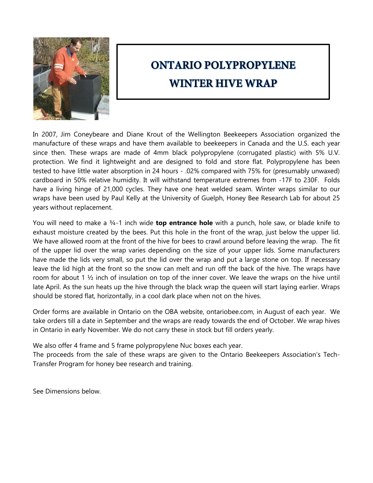

## **ONTARIO POLYPROPYLENE WINTER HIVE WRAP**

In 2007, Jim Coneybeare and Diane Krout of the Wellington Beekeepers Association organized the manufacture of these wraps and have them available to beekeepers in Canada and the U.S. each year since then. These wraps are made of 4mm black polypropylene (corrugated plastic) with 5% U.V. protection. We find it lightweight and are designed to fold and store flat. Polypropylene has been tested to have little water absorption in 24 hours - .02% compared with 75% for (presumably unwaxed) cardboard in 50% relative humidity. It will withstand temperature extremes from -17F to 230F. Folds have a living hinge of 21,000 cycles. They have one heat welded seam. Winter wraps similar to our wraps have been used by Paul Kelly at the University of Guelph, Honey Bee Research Lab for about 25 years without replacement.

You will need to make a ¾-1 inch wide **top entrance hole** with a punch, hole saw, or blade knife to exhaust moisture created by the bees. Put this hole in the front of the wrap, just below the upper lid. We have allowed room at the front of the hive for bees to crawl around before leaving the wrap. The fit of the upper lid over the wrap varies depending on the size of your upper lids. Some manufacturers have made the lids very small, so put the lid over the wrap and put a large stone on top. If necessary leave the lid high at the front so the snow can melt and run off the back of the hive. The wraps have room for about 1  $\frac{1}{2}$  inch of insulation on top of the inner cover. We leave the wraps on the hive until late April. As the sun heats up the hive through the black wrap the queen will start laying earlier. Wraps should be stored flat, horizontally, in a cool dark place when not on the hives.

Order forms are available in Ontario on the OBA website, ontariobee.com, in August of each year. We take orders till a date in September and the wraps are ready towards the end of October. We wrap hives in Ontario in early November. We do not carry these in stock but fill orders yearly.

We also offer 4 frame and 5 frame polypropylene Nuc boxes each year.

The proceeds from the sale of these wraps are given to the Ontario Beekeepers Association's Tech-Transfer Program for honey bee research and training.

See Dimensions below.